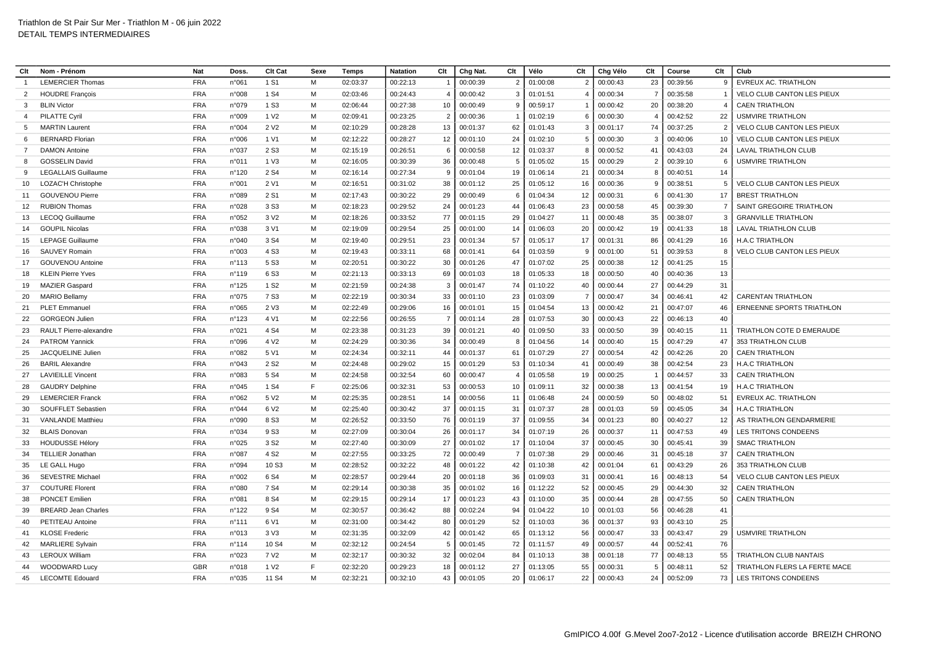| Clt             | Nom - Prénom               | <b>Nat</b> | Doss.           | Clt Cat           | Sexe | Temps    | <b>Natation</b> | Clt            | Chg Nat. | Clt            | Vélo     | Clt            | Chg Vélo    | Clt            | Course   | Clt            | Club                              |
|-----------------|----------------------------|------------|-----------------|-------------------|------|----------|-----------------|----------------|----------|----------------|----------|----------------|-------------|----------------|----------|----------------|-----------------------------------|
|                 | <b>LEMERCIER Thomas</b>    | <b>FRA</b> | n°061           | 1 S1              | M    | 02:03:37 | 00:22:13        | -1             | 00:00:39 | $\overline{2}$ | 01:00:08 | $\overline{2}$ | 00:00:43    | 23             | 00:39:56 | 9              | <b>EVREUX AC. TRIATHLON</b>       |
| $\mathcal{P}$   | <b>HOUDRE François</b>     | <b>FRA</b> | n°008           | 1 S <sub>4</sub>  | M    | 02:03:46 | 00:24:43        | $\overline{4}$ | 00:00:42 | 3              | 01:01:51 |                | 00:00:34    |                | 00:35:58 |                | VELO CLUB CANTON LES PIEUX        |
| 3               | <b>BLIN Victor</b>         | <b>FRA</b> | n°079           | 1 S <sub>3</sub>  | M    | 02:06:44 | 00:27:38        | 10             | 00:00:49 | 9              | 00:59:17 | $\overline{1}$ | 00:00:42    | 20             | 00:38:20 | $\overline{4}$ | <b>CAEN TRIATHLON</b>             |
| $\overline{a}$  | PILATTE Cyril              | <b>FRA</b> | n°009           | 1 V <sub>2</sub>  | м    | 02:09:41 | 00:23:25        | $\overline{2}$ | 00:00:36 | $\mathbf{1}$   | 01:02:19 | 6              | 00:00:30    | $\overline{4}$ | 00:42:52 | 22             | <b>USMVIRE TRIATHLON</b>          |
| -5              | <b>MARTIN Laurent</b>      | <b>FRA</b> | n°004           | 2 V <sub>2</sub>  | M    | 02:10:29 | 00:28:28        | 13             | 00:01:37 | 62             | 01:01:43 | 3              | 00:01:17    | 74             | 00:37:25 | 2              | VELO CLUB CANTON LES PIEUX        |
|                 | <b>BERNARD Florian</b>     | <b>FRA</b> | n°006           | 1 V1              | M    | 02:12:22 | 00:28:27        | 12             | 00:01:10 | 24             | 01:02:10 | 5              | 00:00:30    | 3              | 00:40:06 | 10             | VELO CLUB CANTON LES PIEUX        |
|                 | <b>DAMON Antoine</b>       | <b>FRA</b> | n°037           | 2 S <sub>3</sub>  | M    | 02:15:19 | 00:26:51        | 6              | 00:00:58 | 12             | 01:03:37 | 8              | 00:00:52    | 41             | 00:43:03 | 24             | LAVAL TRIATHLON CLUB              |
| 8               | <b>GOSSELIN David</b>      | <b>FRA</b> | n°011           | 1 V <sub>3</sub>  | M    | 02:16:05 | 00:30:39        | 36             | 00:00:48 | 5              | 01:05:02 | 15             | 00:00:29    | $\overline{2}$ | 00:39:10 | 6              | <b>USMVIRE TRIATHLON</b>          |
| 9               | <b>LEGALLAIS Guillaume</b> | <b>FRA</b> | n°120           | 2 S <sub>4</sub>  | M    | 02:16:14 | 00:27:34        | 9              | 00:01:04 | 19             | 01:06:14 | 21             | 00:00:34    | 8              | 00:40:51 | 14             |                                   |
| 10              | LOZAC'H Christophe         | <b>FRA</b> | n°001           | 2 V1              | M    | 02:16:51 | 00:31:02        | 38             | 00:01:12 | 25             | 01:05:12 | 16             | 00:00:36    | $\mathbf{q}$   | 00:38:51 | -5             | <b>VELO CLUB CANTON LES PIEUX</b> |
| 11              | <b>GOUVENOU Pierre</b>     | <b>FRA</b> | n°089           | 2 S1              | M    | 02:17:43 | 00:30:22        | 29             | 00:00:49 | 6              | 01:04:34 | 12             | 00:00:31    | 6              | 00:41:30 | 17             | <b>BREST TRIATHLON</b>            |
| 12 <sup>2</sup> | <b>RUBION Thomas</b>       | <b>FRA</b> | n°028           | 3 S <sub>3</sub>  | м    | 02:18:23 | 00:29:52        | 24             | 00:01:23 | 44             | 01:06:43 | 23             | 00:00:58    | 45             | 00:39:30 | 7              | SAINT GREGOIRE TRIATHLON          |
| 13              | LECOQ Guillaume            | <b>FRA</b> | n°052           | 3 V <sub>2</sub>  | M    | 02:18:26 | 00:33:52        | 77             | 00:01:15 | 29             | 01:04:27 | 11             | 00:00:48    | 35             | 00:38:07 | -3             | <b>GRANVILLE TRIATHLON</b>        |
| 14              | <b>GOUPIL Nicolas</b>      | <b>FRA</b> | n°038           | 3 V1              | M    | 02:19:09 | 00:29:54        | 25             | 00:01:00 | 14             | 01:06:03 | 20             | 00:00:42    | 19             | 00:41:33 | 18             | LAVAL TRIATHLON CLUB              |
| 15              | <b>LEPAGE Guillaume</b>    | <b>FRA</b> | n°040           | 3 S <sub>4</sub>  | м    | 02:19:40 | 00:29:51        | 23             | 00:01:34 | 57             | 01:05:17 | 17             | 00:01:31    | 86             | 00:41:29 | 16             | <b>H.A.C TRIATHLON</b>            |
| 16              | <b>SAUVEY Romain</b>       | <b>FRA</b> | n°003           | 4 S <sub>3</sub>  | M    | 02:19:43 | 00:33:11        | 68             | 00:01:41 | 64             | 01:03:59 | 9              | 00:01:00    | 51             | 00:39:53 | -8             | <b>VELO CLUB CANTON LES PIEUX</b> |
| 17              | <b>GOUVENOU Antoine</b>    | <b>FRA</b> | n°113           | 5 S3              | M    | 02:20:51 | 00:30:22        | 30             | 00:01:26 | 47             | 01:07:02 | 25             | 00:00:38    | 12             | 00:41:25 | 15             |                                   |
| 18              | <b>KLEIN Pierre Yves</b>   | <b>FRA</b> | n°119           | 6 S <sub>3</sub>  | м    | 02:21:13 | 00:33:13        | 69             | 00:01:03 | 18             | 01:05:33 | 18             | 00:00:50    | 40             | 00:40:36 | 13             |                                   |
| 19              | <b>MAZIER Gaspard</b>      | <b>FRA</b> | n°125           | 1 S <sub>2</sub>  | M    | 02:21:59 | 00:24:38        | $\mathbf{3}$   | 00:01:47 | 74             | 01:10:22 | 40             | 00:00:44    | 27             | 00:44:29 | 31             |                                   |
| 20              | <b>MARIO Bellamy</b>       | <b>FRA</b> | n°075           | 7 S3              | м    | 02:22:19 | 00:30:34        | 33             | 00:01:10 | 23             | 01:03:09 | $\overline{7}$ | 00:00:47    | 34             | 00:46:41 | 42             | <b>CARENTAN TRIATHLON</b>         |
| 21              | <b>PLET Emmanuel</b>       | <b>FRA</b> | n°065           | 2 V <sub>3</sub>  | M    | 02:22:49 | 00:29:06        | 16             | 00:01:01 | 15             | 01:04:54 | 13             | 00:00:42    | 21             | 00:47:07 | 46             | <b>ERNEENNE SPORTS TRIATHLON</b>  |
| 22              | <b>GORGEON Julien</b>      | <b>FRA</b> | n°123           | 4 V1              | M    | 02:22:56 | 00:26:55        | $\overline{7}$ | 00:01:14 | 28             | 01:07:53 | 30             | 00:00:43    | 22             | 00:46:13 | 40             |                                   |
| 23              | RAULT Pierre-alexandre     | <b>FRA</b> | n°021           | 4 S4              | м    | 02:23:38 | 00:31:23        | 39             | 00:01:21 | 40             | 01:09:50 | 33             | 00:00:50    | 39             | 00:40:15 | 11             | TRIATHLON COTE D EMERAUDE         |
| 24              | <b>PATROM Yannick</b>      | <b>FRA</b> | n°096           | 4 V <sub>2</sub>  | M    | 02:24:29 | 00:30:36        | 34             | 00:00:49 | 8              | 01:04:56 | 14             | 00:00:40    | 15             | 00:47:29 | 47             | 353 TRIATHLON CLUB                |
| 25              | JACQUELINE Julien          | <b>FRA</b> | n°082           | 5 V1              | M    | 02:24:34 | 00:32:11        | 44             | 00:01:37 | 61             | 01:07:29 | 27             | 00:00:54    | 42             | 00:42:26 | 20             | <b>CAEN TRIATHLON</b>             |
| 26              | <b>BARIL Alexandre</b>     | <b>FRA</b> | n°043           | 2 S <sub>2</sub>  | M    | 02:24:48 | 00:29:02        | 15             | 00:01:29 | 53             | 01:10:34 | 41             | 00:00:49    | 38             | 00:42:54 | 23             | <b>H.A.C TRIATHLON</b>            |
| 27              | <b>LAVIEILLE Vincent</b>   | <b>FRA</b> | n°083           | 5 S <sub>4</sub>  | M    | 02:24:58 | 00:32:54        | 60             | 00:00:47 | $\overline{4}$ | 01:05:58 | 19             | 00:00:25    | - 1            | 00:44:57 | 33             | <b>CAEN TRIATHLON</b>             |
| 28              | <b>GAUDRY Delphine</b>     | <b>FRA</b> | n°045           | 1 S <sub>4</sub>  | F    | 02:25:06 | 00:32:31        | 53             | 00:00:53 | 10             | 01:09:11 | 32             | 00:00:38    | 13             | 00:41:54 | 19             | <b>H.A.C TRIATHLON</b>            |
| 29              | <b>LEMERCIER Franck</b>    | <b>FRA</b> | n°062           | 5 V <sub>2</sub>  | M    | 02:25:35 | 00:28:51        | 14             | 00:00:56 | 11             | 01:06:48 | 24             | 00:00:59    | 50             | 00:48:02 | 51             | EVREUX AC. TRIATHLON              |
| 30              | SOUFFLET Sebastien         | <b>FRA</b> | n°044           | 6 V <sub>2</sub>  | M    | 02:25:40 | 00:30:42        | 37             | 00:01:15 | 31             | 01:07:37 | 28             | 00:01:03    | 59             | 00:45:05 | 34             | <b>H.A.C TRIATHLON</b>            |
| 31              | <b>VANLANDE Matthieu</b>   | <b>FRA</b> | n°090           | 8 S <sub>3</sub>  | M    | 02:26:52 | 00:33:50        | 76             | 00:01:19 | 37             | 01:09:55 | 34             | 00:01:23    | 80             | 00:40:27 | 12             | AS TRIATHLON GENDARMERIE          |
| 32              | <b>BLAIS Donovan</b>       | <b>FRA</b> | n°034           | 9 S <sub>3</sub>  | M    | 02:27:09 | 00:30:04        | 26             | 00:01:17 | 34             | 01:07:19 | 26             | 00:00:37    | 11             | 00:47:53 | 49             | LES TRITONS CONDEENS              |
| 33              | <b>HOUDUSSE Hélory</b>     | <b>FRA</b> | n°025           | 3 S <sub>2</sub>  | M    | 02:27:40 | 00:30:09        | 27             | 00:01:02 | 17             | 01:10:04 | 37             | 00:00:45    | 30             | 00:45:41 | 39             | <b>SMAC TRIATHLON</b>             |
| 34              | <b>TELLIER Jonathan</b>    | <b>FRA</b> | n°087           | 4 S <sub>2</sub>  | M    | 02:27:55 | 00:33:25        | 72             | 00:00:49 | $\overline{7}$ | 01:07:38 | 29             | 00:00:46    | 31             | 00:45:18 | 37             | <b>CAEN TRIATHLON</b>             |
| 35              | LE GALL Hugo               | <b>FRA</b> | n°094           | 10 S <sub>3</sub> | M    | 02:28:52 | 00:32:22        | 48             | 00:01:22 | 42             | 01:10:38 | 42             | 00:01:04    | 61             | 00:43:29 | 26             | 353 TRIATHLON CLUB                |
| 36              | <b>SEVESTRE Michael</b>    | <b>FRA</b> | n°002           | 6 S <sub>4</sub>  | м    | 02:28:57 | 00:29:44        | 20             | 00:01:18 | 36             | 01:09:03 | 31             | 00:00:41    | 16             | 00:48:13 | 54             | VELO CLUB CANTON LES PIEUX        |
| 37              | <b>COUTURE Florent</b>     | <b>FRA</b> | n°080           | 7 S <sub>4</sub>  | M    | 02:29:14 | 00:30:38        | 35             | 00:01:02 | 16             | 01:12:22 | 52             | 00:00:45    | 29             | 00:44:30 | 32             | <b>CAEN TRIATHLON</b>             |
| 38              | <b>PONCET Emilien</b>      | <b>FRA</b> | n°081           | 8 S <sub>4</sub>  | м    | 02:29:15 | 00:29:14        | 17             | 00:01:23 | 43             | 01:10:00 | 35             | 00:00:44    | 28             | 00:47:55 | 50             | <b>CAEN TRIATHLON</b>             |
| 39              | <b>BREARD Jean Charles</b> | <b>FRA</b> | n°122           | 9 S <sub>4</sub>  | м    | 02:30:57 | 00:36:42        | 88             | 00:02:24 | 94             | 01:04:22 | 10             | 00:01:03    | 56             | 00:46:28 | 41             |                                   |
| 40              | PETITEAU Antoine           | <b>FRA</b> | n°111           | 6 V1              | M    | 02:31:00 | 00:34:42        | 80             | 00:01:29 | 52             | 01:10:03 | 36             | 00:01:37    | 93             | 00:43:10 | 25             |                                   |
| 41              | <b>KLOSE Frederic</b>      | <b>FRA</b> | n°013           | 3 V3              | м    | 02:31:35 | 00:32:09        | 42             | 00:01:42 | 65             | 01:13:12 | 56             | 00:00:47    | 33             | 00:43:47 | 29             | <b>USMVIRE TRIATHLON</b>          |
| 42              | <b>MARLIERE Sylvair</b>    | <b>FRA</b> | $n^{\circ}$ 114 | 10 S4             | м    | 02:32:12 | 00:24:54        | 5              | 00:01:45 | 72             | 01:11:57 | 49             | 00:00:57    | 44             | 00:52:41 | 76             |                                   |
| 43              | <b>LEROUX William</b>      | <b>FRA</b> | n°023           | 7 V <sub>2</sub>  | M    | 02:32:17 | 00:30:32        | 32             | 00:02:04 | 84             | 01:10:13 | 38             | 00:01:18    | 77             | 00:48:13 | 55             | TRIATHLON CLUB NANTAIS            |
| 44              | WOODWARD Lucy              | <b>GBR</b> | n°018           | 1 V <sub>2</sub>  | F    | 02:32:20 | 00:29:23        | 18             | 00:01:12 | 27             | 01:13:05 | 55             | 00:00:31    | 5              | 00:48:11 | 52             | TRIATHLON FLERS LA FERTE MACE     |
| 45              | <b>LECOMTE Edouard</b>     | <b>FRA</b> | n°035           | 11 S <sub>4</sub> | M    | 02:32:21 | 00:32:10        | 43             | 00:01:05 | 20             | 01:06:17 |                | 22 00:00:43 | 24             | 00:52:09 |                | 73   LES TRITONS CONDEENS         |
|                 |                            |            |                 |                   |      |          |                 |                |          |                |          |                |             |                |          |                |                                   |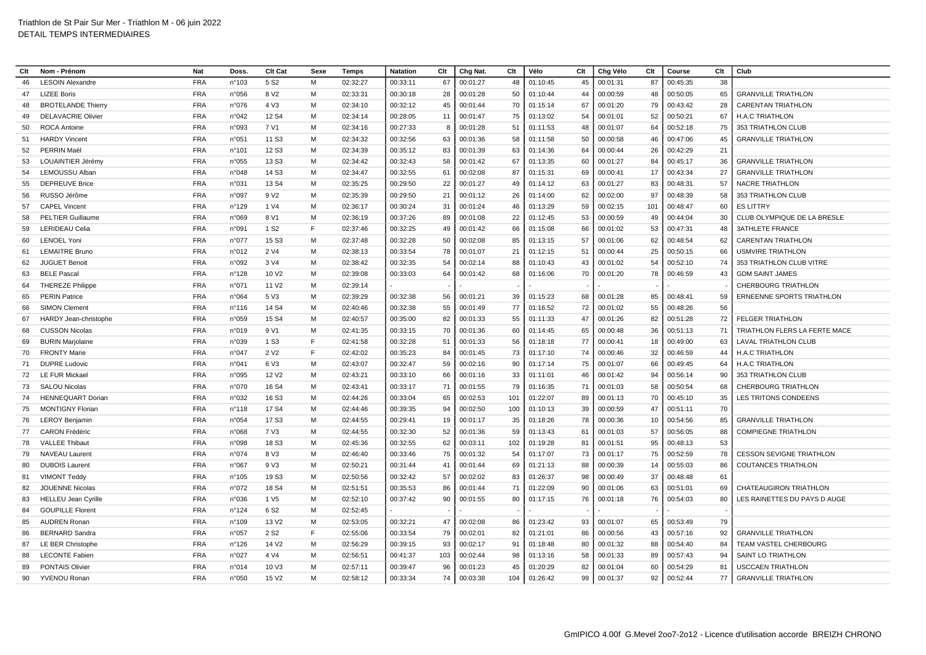| Clt | Nom - Prénom               | <b>Nat</b> | Doss            | <b>Clt Cat</b>    | Sexe | Temps    | <b>Natation</b> | Clt | Chg Nat. | Clt | Vélo     | Clt | Chg Vélo | Clt | Course   | Clt | Club                             |
|-----|----------------------------|------------|-----------------|-------------------|------|----------|-----------------|-----|----------|-----|----------|-----|----------|-----|----------|-----|----------------------------------|
| 46  | <b>LESOIN Alexandre</b>    | <b>FRA</b> | n°103           | 5 S <sub>2</sub>  | M    | 02:32:27 | 00:33:11        | 67  | 00:01:27 | 48  | 01:10:45 | 45  | 00:01:31 | 87  | 00:45:35 | 38  |                                  |
| 47  | <b>LIZEE Boris</b>         | <b>FRA</b> | n°056           | 8 V <sub>2</sub>  | M    | 02:33:31 | 00:30:18        | 28  | 00:01:28 | 50  | 01:10:44 | 44  | 00:00:59 | 48  | 00:50:05 | 65  | <b>GRANVILLE TRIATHLON</b>       |
| 48  | <b>BROTELANDE Thierry</b>  | <b>FRA</b> | n°076           | 4 V3              | M    | 02:34:10 | 00:32:12        | 45  | 00:01:44 | 70  | 01:15:14 | 67  | 00:01:20 | 79  | 00:43:42 | 28  | <b>CARENTAN TRIATHLON</b>        |
| 49  | <b>DELAVACRIE Olivier</b>  | <b>FRA</b> | n°042           | 12 S <sub>4</sub> | M    | 02:34:14 | 00:28:05        | 11  | 00:01:47 | 75  | 01:13:02 | 54  | 00:01:01 | 52  | 00:50:21 | 67  | <b>H.A.C TRIATHLON</b>           |
| 50  | <b>ROCA Antoine</b>        | <b>FRA</b> | n°093           | 7 V1              | M    | 02:34:16 | 00:27:33        | 8   | 00:01:28 | 51  | 01:11:53 | 48  | 00:01:07 | 64  | 00:52:18 | 75  | 353 TRIATHLON CLUB               |
| 51  | <b>HARDY Vincent</b>       | <b>FRA</b> | n°051           | 11 S <sub>3</sub> | M    | 02:34:32 | 00:32:56        | 63  | 00:01:36 | 58  | 01:11:58 | 50  | 00:00:58 | 46  | 00:47:06 | 45  | <b>GRANVILLE TRIATHLON</b>       |
| 52  | PERRIN Maël                | <b>FRA</b> | $n^{\circ}$ 101 | 12 S <sub>3</sub> | M    | 02:34:39 | 00:35:12        | 83  | 00:01:39 | 63  | 01:14:36 | 64  | 00:00:44 | 26  | 00:42:29 | 21  |                                  |
| 53  | LOUAINTIER Jérémy          | <b>FRA</b> | n°055           | 13 S <sub>3</sub> | M    | 02:34:42 | 00:32:43        | 58  | 00:01:42 | 67  | 01:13:35 | 60  | 00:01:27 | 84  | 00:45:17 | 36  | <b>GRANVILLE TRIATHLON</b>       |
| 54  | <b>LEMOUSSU Albar</b>      | <b>FRA</b> | n°048           | 14 S <sub>3</sub> | M    | 02:34:47 | 00:32:55        | 61  | 00:02:08 | 87  | 01:15:31 | 69  | 00:00:41 | 17  | 00:43:34 | 27  | <b>GRANVILLE TRIATHLON</b>       |
| 55  | <b>DEPREUVE Brice</b>      | <b>FRA</b> | n°031           | 13 S4             | M    | 02:35:25 | 00:29:50        | 22  | 00:01:27 | 49  | 01:14:12 | 63  | 00:01:27 | 83  | 00:48:31 | 57  | <b>NACRE TRIATHLON</b>           |
| 56  | RUSSO Jérôme               | <b>FRA</b> | n°097           | 9 V <sub>2</sub>  | M    | 02:35:39 | 00:29:50        | 21  | 00:01:12 | 26  | 01:14:00 | 62  | 00:02:00 | 97  | 00:48:39 | 58  | 353 TRIATHLON CLUB               |
| 57  | <b>CAPEL Vincent</b>       | <b>FRA</b> | n°129           | 1 V4              | M    | 02:36:17 | 00:30:24        | 31  | 00:01:24 | 46  | 01:13:29 | 59  | 00:02:15 | 101 | 00:48:47 | 60  | <b>ES LITTRY</b>                 |
| 58  | <b>PELTIER Guillaume</b>   | <b>FRA</b> | n°069           | 8 V1              | M    | 02:36:19 | 00:37:26        | 89  | 00:01:08 | 22  | 01:12:45 | 53  | 00:00:59 | 49  | 00:44:04 | 30  | CLUB OLYMPIQUE DE LA BRESLE      |
| 59  | <b>LERIDEAU Celia</b>      | <b>FRA</b> | n°091           | 1 S <sub>2</sub>  | E    | 02:37:46 | 00:32:25        | 49  | 00:01:42 | 66  | 01:15:08 | 66  | 00:01:02 | 53  | 00:47:31 | 48  | <b>3ATHLETE FRANCE</b>           |
| 60  | <b>LENOEL Yoni</b>         | <b>FRA</b> | n°077           | 15 S <sub>3</sub> | M    | 02:37:48 | 00:32:28        | 50  | 00:02:08 | 85  | 01:13:15 | 57  | 00:01:06 | 62  | 00:48:54 | 62  | <b>CARENTAN TRIATHLON</b>        |
| 61  | <b>LEMAITRE Bruno</b>      | <b>FRA</b> | n°012           | 2 V4              | M    | 02:38:13 | 00:33:54        | 78  | 00:01:07 | 21  | 01:12:15 | 51  | 00:00:44 | 25  | 00:50:15 | 66  | <b>USMVIRE TRIATHLON</b>         |
| 62  | <b>JUGUET Benoit</b>       | <b>FRA</b> | n°092           | 3 V4              | M    | 02:38:42 | 00:32:35        | 54  | 00:02:14 | 88  | 01:10:43 | 43  | 00:01:02 | 54  | 00:52:10 | 74  | 353 TRIATHLON CLUB VITRE         |
| 63  | <b>BELE Pasca</b>          | <b>FRA</b> | n°128           | 10 V <sub>2</sub> | M    | 02:39:08 | 00:33:03        | 64  | 00:01:42 | 68  | 01:16:06 | 70  | 00:01:20 | 78  | 00:46:59 | 43  | <b>GDM SAINT JAMES</b>           |
| 64  | <b>THEREZE Philippe</b>    | <b>FRA</b> | n°071           | 11 V <sub>2</sub> | M    | 02:39:14 |                 |     |          |     |          |     |          |     |          |     | <b>CHERBOURG TRIATHLON</b>       |
| 65  | <b>PERIN Patrice</b>       | <b>FRA</b> | n°064           | 5 V3              | M    | 02:39:29 | 00:32:38        | 56  | 00:01:21 | 39  | 01:15:23 | 68  | 00:01:28 | 85  | 00:48:41 | 59  | <b>ERNEENNE SPORTS TRIATHLON</b> |
| 66  | <b>SIMON Clement</b>       | <b>FRA</b> | n°116           | 14 S4             | M    | 02:40:46 | 00:32:38        | 55  | 00:01:49 | 77  | 01:16:52 | 72  | 00:01:02 | 55  | 00:48:26 | 56  |                                  |
| 67  | HARDY Jean-christophe      | <b>FRA</b> | n°059           | 15 S <sub>4</sub> | M    | 02:40:57 | 00:35:00        | 82  | 00:01:33 | 55  | 01:11:33 | 47  | 00:01:26 | 82  | 00:51:28 | 72  | <b>FELGER TRIATHLON</b>          |
| 68  | <b>CUSSON Nicolas</b>      | <b>FRA</b> | n°019           | 9 V1              | M    | 02:41:35 | 00:33:15        | 70  | 00:01:36 | 60  | 01:14:45 | 65  | 00:00:48 | 36  | 00:51:13 | 71  | TRIATHLON FLERS LA FERTE MACE    |
| 69  | <b>BURIN Marjolaine</b>    | <b>FRA</b> | n°039           | 1 S <sub>3</sub>  | F    | 02:41:58 | 00:32:28        | 51  | 00:01:33 | 56  | 01:18:18 | 77  | 00:00:41 | 18  | 00:49:00 | 63  | LAVAL TRIATHLON CLUB             |
| 70  | <b>FRONTY Marie</b>        | <b>FRA</b> | n°047           | 2 V <sub>2</sub>  | F    | 02:42:02 | 00:35:23        | 84  | 00:01:45 | 73  | 01:17:10 | 74  | 00:00:46 | 32  | 00:46:59 | 44  | <b>H.A.C TRIATHLON</b>           |
| 71  | <b>DUPRE Ludovic</b>       | <b>FRA</b> | n°041           | 6 V3              | M    | 02:43:07 | 00:32:47        | 59  | 00:02:16 | 90  | 01:17:14 | 75  | 00:01:07 | 66  | 00:49:45 | 64  | <b>H.A.C TRIATHLON</b>           |
| 72  | <b>LE FUR Mickael</b>      | <b>FRA</b> | n°095           | 12 V <sub>2</sub> | M    | 02:43:21 | 00:33:10        | 66  | 00:01:16 | 33  | 01:11:01 | 46  | 00:01:42 | 94  | 00:56:14 | 90  | 353 TRIATHLON CLUB               |
| 73  | <b>SALOU Nicolas</b>       | <b>FRA</b> | n°070           | 16 S <sub>4</sub> | м    | 02:43:41 | 00:33:17        | 71  | 00:01:55 | 79  | 01:16:35 | 71  | 00:01:03 | 58  | 00:50:54 | 68  | <b>CHERBOURG TRIATHLON</b>       |
| 74  | <b>HENNEQUART Dorian</b>   | <b>FRA</b> | n°032           | 16 S <sub>3</sub> | M    | 02:44:26 | 00:33:04        | 65  | 00:02:53 | 101 | 01:22:07 | 89  | 00:01:13 | 70  | 00:45:10 | 35  | <b>LES TRITONS CONDEENS</b>      |
| 75  | <b>MONTIGNY Floriar</b>    | <b>FRA</b> | n°118           | 17 S4             | M    | 02:44:46 | 00:39:35        | 94  | 00:02:50 | 100 | 01:10:13 | 39  | 00:00:59 | 47  | 00:51:11 | 70  |                                  |
| 76  | <b>LEROY Benjamin</b>      | <b>FRA</b> | n°054           | 17 S <sub>3</sub> | M    | 02:44:55 | 00:29:41        | 19  | 00:01:17 | 35  | 01:18:26 | 78  | 00:00:36 | 10  | 00:54:56 | 85  | <b>GRANVILLE TRIATHLON</b>       |
| 77  | <b>CARON Frédéric</b>      | <b>FRA</b> | n°068           | 7 V3              | M    | 02:44:55 | 00:32:30        | 52  | 00:01:36 | 59  | 01:13:43 | 61  | 00:01:03 | 57  | 00:56:05 | 88  | <b>COMPIEGNE TRIATHLON</b>       |
| 78  | <b>VALLEE Thibaut</b>      | <b>FRA</b> | n°098           | 18 S3             | M    | 02:45:36 | 00:32:55        | 62  | 00:03:11 | 102 | 01:19:28 | 81  | 00:01:51 | 95  | 00:48:13 | 53  |                                  |
| 79  | <b>NAVEAU Laurent</b>      | <b>FRA</b> | n°074           | 8 V3              | M    | 02:46:40 | 00:33:46        | 75  | 00:01:32 | 54  | 01:17:07 | 73  | 00:01:17 | 75  | 00:52:59 | 78  | <b>CESSON SEVIGNE TRIATHLON</b>  |
| 80  | <b>DUBOIS Laurent</b>      | <b>FRA</b> | n°067           | 9 V3              | M    | 02:50:21 | 00:31:44        | 41  | 00:01:44 | 69  | 01:21:13 | 88  | 00:00:39 | 14  | 00:55:03 | 86  | <b>COUTANCES TRIATHLON</b>       |
| 81  | <b>VIMONT Teddy</b>        | <b>FRA</b> | n°105           | 19 S <sub>3</sub> | м    | 02:50:56 | 00:32:42        | 57  | 00:02:02 | 83  | 01:26:37 | 98  | 00:00:49 | 37  | 00:48:48 | 61  |                                  |
| 82  | <b>JOUENNE Nicolas</b>     | <b>FRA</b> | n°072           | 18 S4             | M    | 02:51:51 | 00:35:53        | 86  | 00:01:44 | 71  | 01:22:09 | 90  | 00:01:06 | 63  | 00:51:01 | 69  | CHATEAUGIRON TRIATHLON           |
| 83  | <b>HELLEU Jean Cyrille</b> | <b>FRA</b> | n°036           | 1 V <sub>5</sub>  | M    | 02:52:10 | 00:37:42        | 90  | 00:01:55 | 80  | 01:17:15 | 76  | 00:01:18 | 76  | 00:54:03 | 80  | LES RAINETTES DU PAYS D AUGE     |
| 84  | <b>GOUPILLE Florent</b>    | <b>FRA</b> | n°124           | 6 S <sub>2</sub>  | M    | 02:52:45 |                 |     |          |     |          |     |          |     |          |     |                                  |
| 85  | <b>AUDREN Ronan</b>        | <b>FRA</b> | n°109           | 13 V <sub>2</sub> | M    | 02:53:05 | 00:32:21        | 47  | 00:02:08 | 86  | 01:23:42 | 93  | 00:01:07 | 65  | 00:53:49 | 79  |                                  |
| 86  | <b>BERNARD Sandra</b>      | <b>FRA</b> | n°057           | 2 S <sub>2</sub>  | F    | 02:55:06 | 00:33:54        | 79  | 00:02:01 | 82  | 01:21:01 | 86  | 00:00:56 | 43  | 00:57:16 | 92  | <b>GRANVILLE TRIATHLON</b>       |
| 87  | LE BER Christophe          | <b>FRA</b> | n°126           | 14 V <sub>2</sub> | M    | 02:56:29 | 00:39:15        | 93  | 00:02:17 | 91  | 01:18:48 | 80  | 00:01:32 | 88  | 00:54:40 | 84  | TEAM VASTEL CHERBOURG            |
| 88  | <b>LECONTE Fabien</b>      | <b>FRA</b> | n°027           | 4 V4              | M    | 02:56:51 | 00:41:37        | 103 | 00:02:44 | 98  | 01:13:16 | 58  | 00:01:33 | 89  | 00:57:43 | 94  | SAINT LO TRIATHLON               |
| 89  | PONTAIS Olivier            | <b>FRA</b> | n°014           | 10 V3             | M    | 02:57:11 | 00:39:47        | 96  | 00:01:23 | 45  | 01:20:29 | 82  | 00:01:04 | 60  | 00:54:29 | 81  | <b>USCCAEN TRIATHLON</b>         |
| 90  | YVENOU Ronan               | <b>FRA</b> | n°050           | 15 V <sub>2</sub> | м    | 02:58:12 | 00:33:34        | 74  | 00:03:38 | 104 | 01:26:42 | 99  | 00:01:37 | 92  | 00:52:44 | 77  | <b>GRANVILLE TRIATHLON</b>       |
|     |                            |            |                 |                   |      |          |                 |     |          |     |          |     |          |     |          |     |                                  |